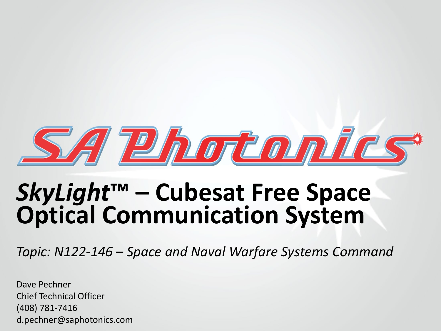

# *SkyLight***™ – Cubesat Free Space Optical Communication System**

*Topic: N122-146 – Space and Naval Warfare Systems Command*

Dave Pechner Chief Technical Officer (408) 781-7416 d.pechner@saphotonics.com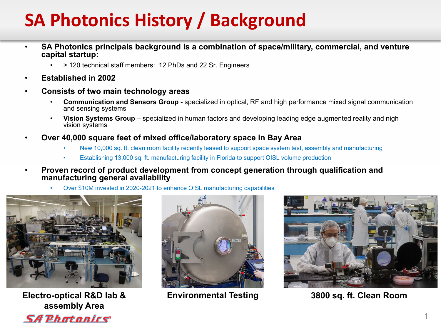#### **SA Photonics History / Background**

- **SA Photonics principals background is a combination of space/military, commercial, and venture capital startup:**
	- > 120 technical staff members: 12 PhDs and 22 Sr. Engineers
- **Established in 2002**
- **Consists of two main technology areas**
	- **Communication and Sensors Group**  specialized in optical, RF and high performance mixed signal communication and sensing systems
	- **Vision Systems Group**  specialized in human factors and developing leading edge augmented reality and nigh vision systems
- **Over 40,000 square feet of mixed office/laboratory space in Bay Area**
	- New 10,000 sq. ft. clean room facility recently leased to support space system test, assembly and manufacturing
	- Establishing 13,000 sq. ft. manufacturing facility in Florida to support OISL volume production
- **Proven record of product development from concept generation through qualification and manufacturing general availability**
	- Over \$10M invested in 2020-2021 to enhance OISL manufacturing capabilities



**Electro-optical R&D lab & assembly Area SA Photonics** 





**Environmental Testing 3800 sq. ft. Clean Room**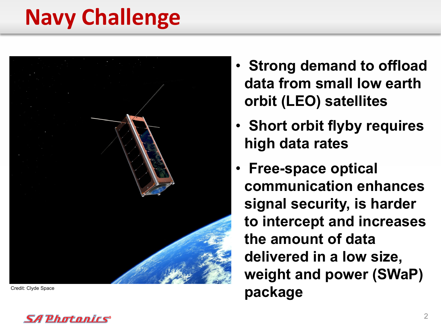# **Navy Challenge**



- **Strong demand to offload data from small low earth orbit (LEO) satellites**
- **Short orbit flyby requires high data rates**
- **Free-space optical communication enhances signal security, is harder to intercept and increases the amount of data delivered in a low size, weight and power (SWaP) package** Credit: Clyde Space **package**

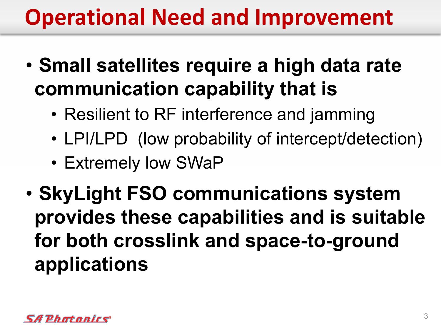# **Operational Need and Improvement**

- **Small satellites require a high data rate communication capability that is**
	- Resilient to RF interference and jamming
	- LPI/LPD (low probability of intercept/detection)
	- Extremely low SWaP
- **SkyLight FSO communications system provides these capabilities and is suitable for both crosslink and space-to-ground applications**

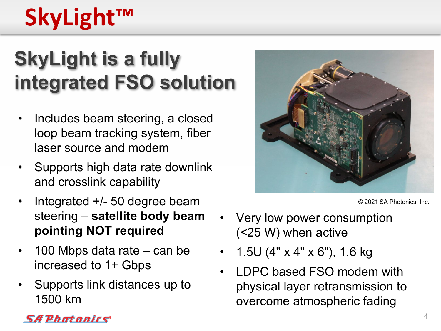# **SkyLight™**

## **SkyLight is a fully integrated FSO solution**

- Includes beam steering, a closed loop beam tracking system, fiber laser source and modem
- Supports high data rate downlink and crosslink capability
- Integrated  $+/-$  50 degree beam steering – **satellite body beam pointing NOT required**
- 100 Mbps data rate can be increased to 1+ Gbps
- Supports link distances up to 1500 km



© 2021 SA Photonics, Inc.

- Very low power consumption (<25 W) when active
- 1.5U (4" x 4" x 6"), 1.6 kg
- LDPC based FSO modem with physical layer retransmission to overcome atmospheric fading

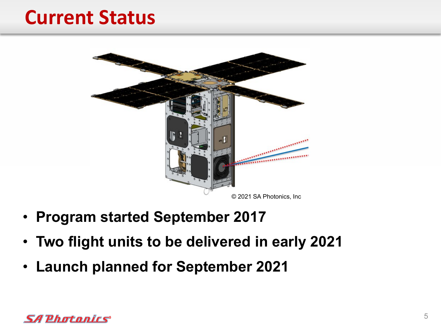#### **Current Status**



- **Program started September 2017**
- **Two flight units to be delivered in early 2021**
- **Launch planned for September 2021**

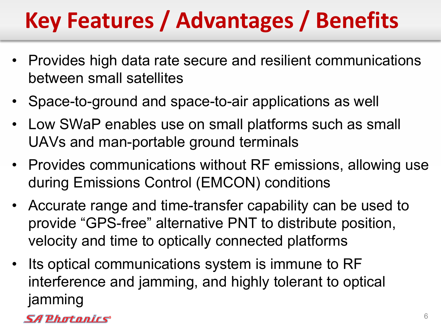# **Key Features / Advantages / Benefits**

- Provides high data rate secure and resilient communications between small satellites
- Space-to-ground and space-to-air applications as well
- Low SWaP enables use on small platforms such as small UAVs and man-portable ground terminals
- Provides communications without RF emissions, allowing use during Emissions Control (EMCON) conditions
- Accurate range and time-transfer capability can be used to provide "GPS-free" alternative PNT to distribute position, velocity and time to optically connected platforms
- Its optical communications system is immune to RF interference and jamming, and highly tolerant to optical jamming

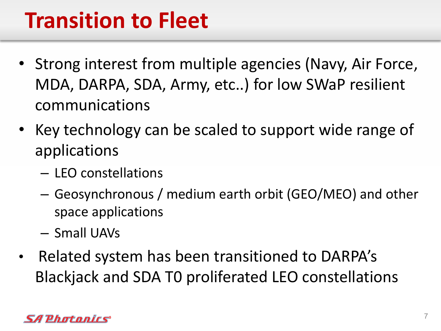## **Transition to Fleet**

- Strong interest from multiple agencies (Navy, Air Force, MDA, DARPA, SDA, Army, etc..) for low SWaP resilient communications
- Key technology can be scaled to support wide range of applications
	- LEO constellations
	- Geosynchronous / medium earth orbit (GEO/MEO) and other space applications
	- Small UAVs
- Related system has been transitioned to DARPA's Blackjack and SDA T0 proliferated LEO constellations

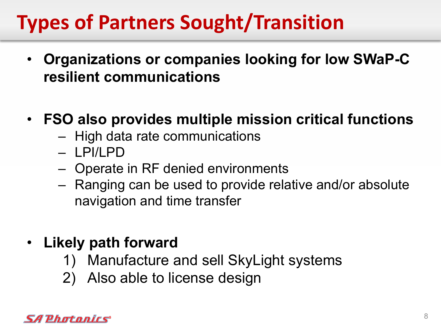## **Types of Partners Sought/Transition**

- **Organizations or companies looking for low SWaP-C resilient communications**
- **FSO also provides multiple mission critical functions**
	- High data rate communications
	- LPI/LPD
	- Operate in RF denied environments
	- Ranging can be used to provide relative and/or absolute navigation and time transfer
- **Likely path forward**
	- 1) Manufacture and sell SkyLight systems
	- 2) Also able to license design